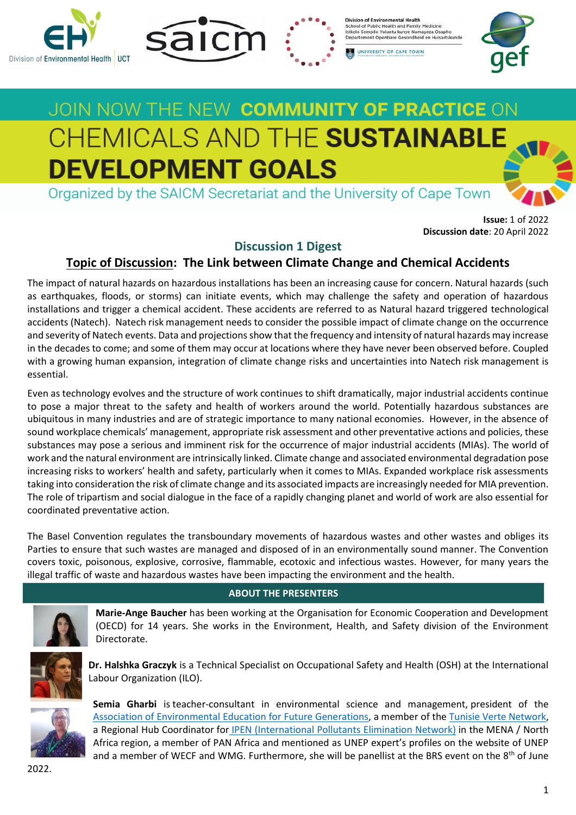





Division of Enviro School of Public Health and Family Medicine<br>Isikolo Sempilo Yoluntu kunye Namayeza Osapho<br>Departement Openbare Gesondheid en Huisartskunde

UNIVERSITY OF CAPE TOWN

# JOIN NOW THE NEW COMMUNITY OF PRACTICE ON CHEMICALS AND THE SUSTAINABLE **DEVELOPMENT GOALS**

Organized by the SAICM Secretariat and the University of Cape Town

**Issue:** 1 of 2022 **Discussion date**: 20 April 2022

# **Discussion 1 Digest**

# **Topic of Discussion: The Link between Climate Change and Chemical Accidents**

The impact of natural hazards on hazardous installations has been an increasing cause for concern. Natural hazards (such as earthquakes, floods, or storms) can initiate events, which may challenge the safety and operation of hazardous installations and trigger a chemical accident. These accidents are referred to as Natural hazard triggered technological accidents (Natech). Natech risk management needs to consider the possible impact of climate change on the occurrence and severity of Natech events. Data and projections show that the frequency and intensity of natural hazards may increase in the decades to come; and some of them may occur at locations where they have never been observed before. Coupled with a growing human expansion, integration of climate change risks and uncertainties into Natech risk management is essential.

Even as technology evolves and the structure of work continues to shift dramatically, major industrial accidents continue to pose a major threat to the safety and health of workers around the world. Potentially hazardous substances are ubiquitous in many industries and are of strategic importance to many national economies. However, in the absence of sound workplace chemicals' management, appropriate risk assessment and other preventative actions and policies, these substances may pose a serious and imminent risk for the occurrence of major industrial accidents (MIAs). The world of work and the natural environment are intrinsically linked. Climate change and associated environmental degradation pose increasing risks to workers' health and safety, particularly when it comes to MIAs. Expanded workplace risk assessments taking into consideration the risk of climate change and its associated impacts are increasingly needed for MIA prevention. The role of tripartism and social dialogue in the face of a rapidly changing planet and world of work are also essential for coordinated preventative action.

The Basel Convention regulates the transboundary movements of hazardous wastes and other wastes and obliges its Parties to ensure that such wastes are managed and disposed of in an environmentally sound manner. The Convention covers toxic, poisonous, explosive, corrosive, flammable, ecotoxic and infectious wastes. However, for many years the illegal traffic of waste and hazardous wastes have been impacting the environment and the health.

# **ABOUT THE PRESENTERS**



**Marie-Ange Baucher** has been working at the Organisation for Economic Cooperation and Development (OECD) for 14 years. She works in the Environment, Health, and Safety division of the Environment Directorate.



**Dr. Halshka Graczyk** is a Technical Specialist on Occupational Safety and Health (OSH) at the International Labour Organization (ILO).



**Semia Gharbi** is teacher-consultant in environmental science and management, president of the [Association of Environmental Education for Future Generations,](https://www.facebook.com/Association-dEducation-Environnementale-pour-les-Futures-G%C3%A9n%C3%A9rations-AEEFG-606494286451129/) a member of the Tunisie Verte [Network,](https://www.facebook.com/%D8%B4%D8%A8%D9%83%D8%A9-%D8%AA%D9%88%D9%86%D8%B3-%D8%A7%D9%84%D8%AE%D8%B6%D8%B1%D8%A7%D8%A1-R%C3%A9seau-Tunisie-Verte-100941068468918/) a Regional Hub Coordinator for [IPEN \(International Pollutants Elimination Network\)](https://ipen.org/) in the MENA / North Africa region, a member of PAN Africa and mentioned as UNEP expert's profiles on the website of UNEP and a member of WECF and WMG. Furthermore, she will be panellist at the BRS event on the 8<sup>th</sup> of June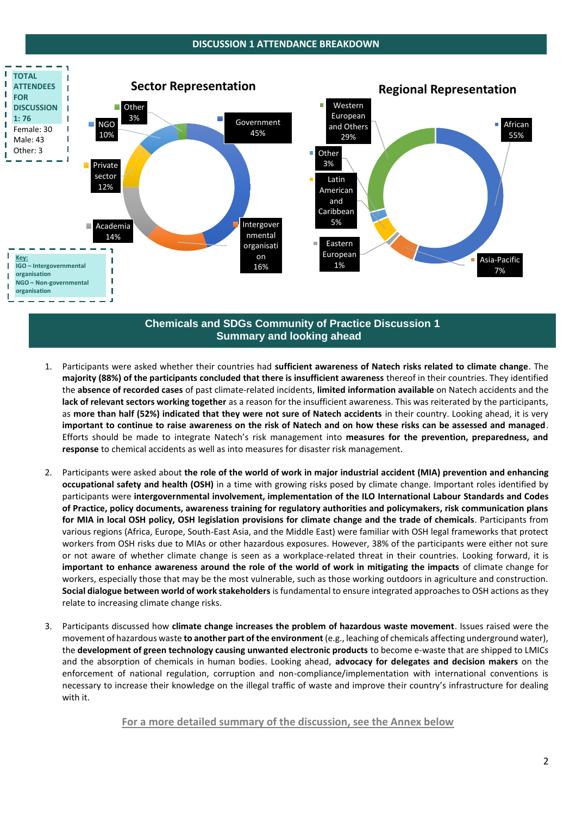## **DISCUSSION 1 ATTENDANCE BREAKDOWN**



# **Chemicals and SDGs Community of Practice Discussion 1 Summary and looking ahead**

- 1. Participants were asked whether their countries had **sufficient awareness of Natech risks related to climate change**. The **majority (88%) of the participants concluded that there is insufficient awareness** thereof in their countries. They identified the **absence of recorded cases** of past climate-related incidents, **limited information available** on Natech accidents and the **lack of relevant sectors working together** as a reason for the insufficient awareness. This was reiterated by the participants, as **more than half (52%) indicated that they were not sure of Natech accidents** in their country. Looking ahead, it is very **important to continue to raise awareness on the risk of Natech and on how these risks can be assessed and managed**. Efforts should be made to integrate Natech's risk management into **measures for the prevention, preparedness, and response** to chemical accidents as well as into measures for disaster risk management.
- 2. Participants were asked about **the role of the world of work in major industrial accident (MIA) prevention and enhancing occupational safety and health (OSH)** in a time with growing risks posed by climate change. Important roles identified by participants were **intergovernmental involvement, implementation of the ILO International Labour Standards and Codes of Practice, policy documents, awareness training for regulatory authorities and policymakers, risk communication plans for MIA in local OSH policy, OSH legislation provisions for climate change and the trade of chemicals**. Participants from various regions (Africa, Europe, South-East Asia, and the Middle East) were familiar with OSH legal frameworks that protect workers from OSH risks due to MIAs or other hazardous exposures. However, 38% of the participants were either not sure or not aware of whether climate change is seen as a workplace-related threat in their countries. Looking forward, it is **important to enhance awareness around the role of the world of work in mitigating the impacts** of climate change for workers, especially those that may be the most vulnerable, such as those working outdoors in agriculture and construction. **Social dialogue between world of work stakeholders** is fundamental to ensure integrated approaches to OSH actions as they relate to increasing climate change risks.
- 3. Participants discussed how **climate change increases the problem of hazardous waste movement**. Issues raised were the movement of hazardous waste **to another part of the environment** (e.g., leaching of chemicals affecting underground water), the **development of green technology causing unwanted electronic products** to become e-waste that are shipped to LMICs and the absorption of chemicals in human bodies. Looking ahead, **advocacy for delegates and decision makers** on the enforcement of national regulation, corruption and non-compliance/implementation with international conventions is necessary to increase their knowledge on the illegal traffic of waste and improve their country's infrastructure for dealing with it.

**For a more detailed summary of the discussion, see the Annex below**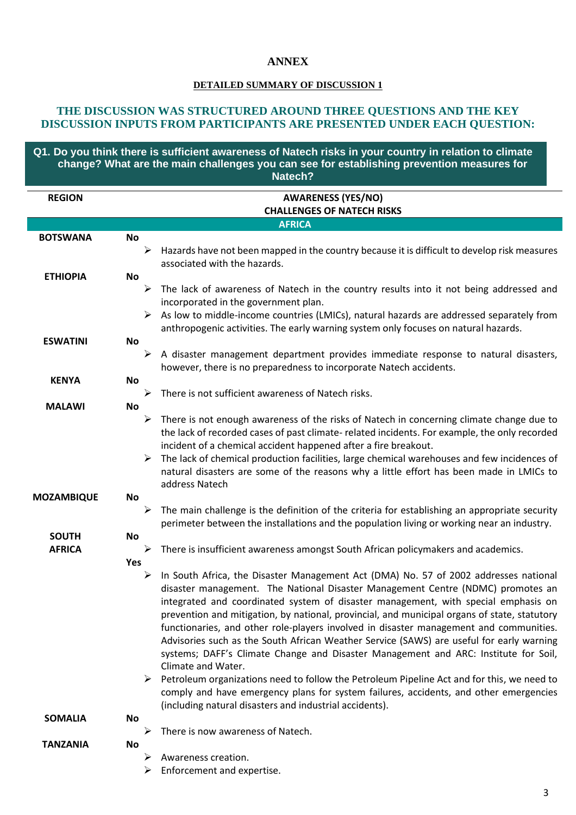# **ANNEX**

# **DETAILED SUMMARY OF DISCUSSION 1**

# **THE DISCUSSION WAS STRUCTURED AROUND THREE QUESTIONS AND THE KEY DISCUSSION INPUTS FROM PARTICIPANTS ARE PRESENTED UNDER EACH QUESTION:**

 **Q1. Do you think there is sufficient awareness of Natech risks in your country in relation to climate change? What are the main challenges you can see for establishing prevention measures for Natech?**

| <b>REGION</b>     | <b>AWARENESS (YES/NO)</b>                                                                                       |
|-------------------|-----------------------------------------------------------------------------------------------------------------|
|                   | <b>CHALLENGES OF NATECH RISKS</b>                                                                               |
|                   | <b>AFRICA</b>                                                                                                   |
| <b>BOTSWANA</b>   | <b>No</b>                                                                                                       |
|                   | Hazards have not been mapped in the country because it is difficult to develop risk measures<br>➤               |
|                   | associated with the hazards.                                                                                    |
| <b>ETHIOPIA</b>   | No                                                                                                              |
|                   | $\blacktriangleright$<br>The lack of awareness of Natech in the country results into it not being addressed and |
|                   | incorporated in the government plan.                                                                            |
|                   | As low to middle-income countries (LMICs), natural hazards are addressed separately from<br>➤                   |
|                   | anthropogenic activities. The early warning system only focuses on natural hazards.                             |
| <b>ESWATINI</b>   | No                                                                                                              |
|                   | A disaster management department provides immediate response to natural disasters,<br>➤                         |
|                   | however, there is no preparedness to incorporate Natech accidents.                                              |
| <b>KENYA</b>      | <b>No</b>                                                                                                       |
|                   | ➤<br>There is not sufficient awareness of Natech risks.                                                         |
| <b>MALAWI</b>     | No                                                                                                              |
|                   | There is not enough awareness of the risks of Natech in concerning climate change due to<br>➤                   |
|                   | the lack of recorded cases of past climate- related incidents. For example, the only recorded                   |
|                   | incident of a chemical accident happened after a fire breakout.                                                 |
|                   | The lack of chemical production facilities, large chemical warehouses and few incidences of                     |
|                   | natural disasters are some of the reasons why a little effort has been made in LMICs to                         |
|                   | address Natech                                                                                                  |
| <b>MOZAMBIQUE</b> | No                                                                                                              |
|                   | The main challenge is the definition of the criteria for establishing an appropriate security<br>➤              |
|                   | perimeter between the installations and the population living or working near an industry.                      |
| <b>SOUTH</b>      | <b>No</b>                                                                                                       |
| <b>AFRICA</b>     | There is insufficient awareness amongst South African policymakers and academics.<br>➤                          |
|                   | Yes                                                                                                             |
|                   | In South Africa, the Disaster Management Act (DMA) No. 57 of 2002 addresses national<br>➤                       |
|                   | disaster management. The National Disaster Management Centre (NDMC) promotes an                                 |
|                   | integrated and coordinated system of disaster management, with special emphasis on                              |
|                   | prevention and mitigation, by national, provincial, and municipal organs of state, statutory                    |
|                   | functionaries, and other role-players involved in disaster management and communities.                          |
|                   | Advisories such as the South African Weather Service (SAWS) are useful for early warning                        |
|                   | systems; DAFF's Climate Change and Disaster Management and ARC: Institute for Soil,                             |
|                   | Climate and Water.                                                                                              |
|                   | Petroleum organizations need to follow the Petroleum Pipeline Act and for this, we need to                      |
|                   | comply and have emergency plans for system failures, accidents, and other emergencies                           |
|                   | (including natural disasters and industrial accidents).                                                         |
| <b>SOMALIA</b>    | No                                                                                                              |
|                   | There is now awareness of Natech.                                                                               |
| TANZANIA          | <b>No</b>                                                                                                       |
|                   | Awareness creation.<br>⋗                                                                                        |
|                   | Enforcement and expertise.                                                                                      |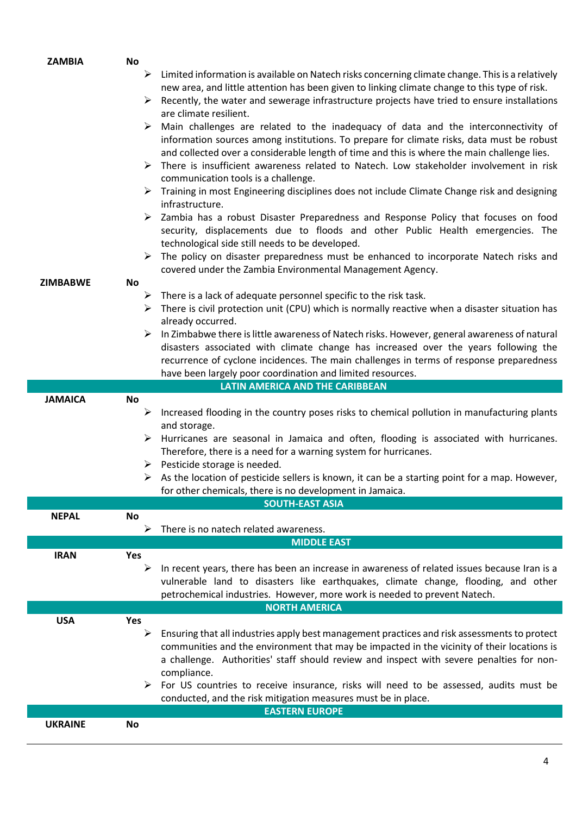| <b>No</b><br>Limited information is available on Natech risks concerning climate change. This is a relatively<br>➤<br>new area, and little attention has been given to linking climate change to this type of risk.<br>Recently, the water and sewerage infrastructure projects have tried to ensure installations<br>➤ |  |
|-------------------------------------------------------------------------------------------------------------------------------------------------------------------------------------------------------------------------------------------------------------------------------------------------------------------------|--|
|                                                                                                                                                                                                                                                                                                                         |  |
|                                                                                                                                                                                                                                                                                                                         |  |
|                                                                                                                                                                                                                                                                                                                         |  |
| are climate resilient.                                                                                                                                                                                                                                                                                                  |  |
| Main challenges are related to the inadequacy of data and the interconnectivity of<br>➤                                                                                                                                                                                                                                 |  |
| information sources among institutions. To prepare for climate risks, data must be robust                                                                                                                                                                                                                               |  |
| and collected over a considerable length of time and this is where the main challenge lies.                                                                                                                                                                                                                             |  |
| There is insufficient awareness related to Natech. Low stakeholder involvement in risk<br>➤                                                                                                                                                                                                                             |  |
| communication tools is a challenge.                                                                                                                                                                                                                                                                                     |  |
| Training in most Engineering disciplines does not include Climate Change risk and designing                                                                                                                                                                                                                             |  |
| infrastructure.                                                                                                                                                                                                                                                                                                         |  |
| Zambia has a robust Disaster Preparedness and Response Policy that focuses on food                                                                                                                                                                                                                                      |  |
| security, displacements due to floods and other Public Health emergencies. The                                                                                                                                                                                                                                          |  |
| technological side still needs to be developed.                                                                                                                                                                                                                                                                         |  |
| The policy on disaster preparedness must be enhanced to incorporate Natech risks and<br>➤                                                                                                                                                                                                                               |  |
| covered under the Zambia Environmental Management Agency.                                                                                                                                                                                                                                                               |  |
| No<br><b>ZIMBABWE</b>                                                                                                                                                                                                                                                                                                   |  |
| There is a lack of adequate personnel specific to the risk task.<br>➤                                                                                                                                                                                                                                                   |  |
| There is civil protection unit (CPU) which is normally reactive when a disaster situation has<br>➤<br>already occurred.                                                                                                                                                                                                 |  |
| In Zimbabwe there is little awareness of Natech risks. However, general awareness of natural<br>➤                                                                                                                                                                                                                       |  |
| disasters associated with climate change has increased over the years following the                                                                                                                                                                                                                                     |  |
| recurrence of cyclone incidences. The main challenges in terms of response preparedness                                                                                                                                                                                                                                 |  |
|                                                                                                                                                                                                                                                                                                                         |  |
|                                                                                                                                                                                                                                                                                                                         |  |
| have been largely poor coordination and limited resources.                                                                                                                                                                                                                                                              |  |
| <b>LATIN AMERICA AND THE CARIBBEAN</b><br><b>JAMAICA</b><br>No                                                                                                                                                                                                                                                          |  |
| Increased flooding in the country poses risks to chemical pollution in manufacturing plants<br>➤                                                                                                                                                                                                                        |  |
| and storage.                                                                                                                                                                                                                                                                                                            |  |
| Hurricanes are seasonal in Jamaica and often, flooding is associated with hurricanes.<br>➤                                                                                                                                                                                                                              |  |
| Therefore, there is a need for a warning system for hurricanes.                                                                                                                                                                                                                                                         |  |
| $\triangleright$ Pesticide storage is needed.                                                                                                                                                                                                                                                                           |  |
| $\triangleright$ As the location of pesticide sellers is known, it can be a starting point for a map. However,                                                                                                                                                                                                          |  |
| for other chemicals, there is no development in Jamaica.                                                                                                                                                                                                                                                                |  |
| <b>SOUTH-EAST ASIA</b>                                                                                                                                                                                                                                                                                                  |  |
| <b>NEPAL</b><br>No                                                                                                                                                                                                                                                                                                      |  |
| ➤<br>There is no natech related awareness.                                                                                                                                                                                                                                                                              |  |
| <b>MIDDLE EAST</b>                                                                                                                                                                                                                                                                                                      |  |
| <b>IRAN</b><br>Yes<br>$\blacktriangleright$                                                                                                                                                                                                                                                                             |  |
| In recent years, there has been an increase in awareness of related issues because Iran is a                                                                                                                                                                                                                            |  |
| vulnerable land to disasters like earthquakes, climate change, flooding, and other<br>petrochemical industries. However, more work is needed to prevent Natech.                                                                                                                                                         |  |
| <b>NORTH AMERICA</b>                                                                                                                                                                                                                                                                                                    |  |
| <b>USA</b><br><b>Yes</b>                                                                                                                                                                                                                                                                                                |  |
| Ensuring that all industries apply best management practices and risk assessments to protect<br>➤                                                                                                                                                                                                                       |  |
| communities and the environment that may be impacted in the vicinity of their locations is                                                                                                                                                                                                                              |  |
| a challenge. Authorities' staff should review and inspect with severe penalties for non-                                                                                                                                                                                                                                |  |
| compliance.                                                                                                                                                                                                                                                                                                             |  |
| For US countries to receive insurance, risks will need to be assessed, audits must be<br>➤                                                                                                                                                                                                                              |  |
| conducted, and the risk mitigation measures must be in place.                                                                                                                                                                                                                                                           |  |
| <b>EASTERN EUROPE</b><br><b>UKRAINE</b><br>No                                                                                                                                                                                                                                                                           |  |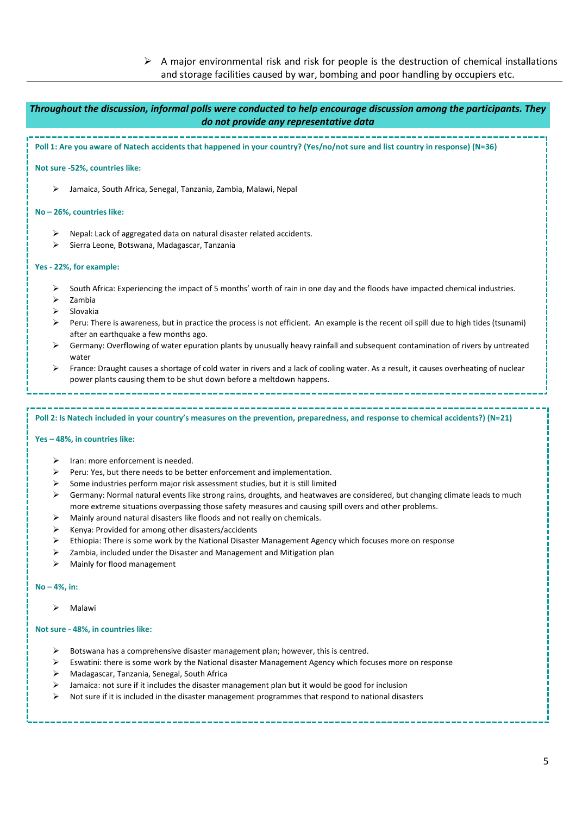$\triangleright$  A major environmental risk and risk for people is the destruction of chemical installations and storage facilities caused by war, bombing and poor handling by occupiers etc.

| Throughout the discussion, informal polls were conducted to help encourage discussion among the participants. They<br>do not provide any representative data                                                                                                                                                      |  |  |
|-------------------------------------------------------------------------------------------------------------------------------------------------------------------------------------------------------------------------------------------------------------------------------------------------------------------|--|--|
| Poll 1: Are you aware of Natech accidents that happened in your country? (Yes/no/not sure and list country in response) (N=36)                                                                                                                                                                                    |  |  |
| Not sure -52%, countries like:                                                                                                                                                                                                                                                                                    |  |  |
| Jamaica, South Africa, Senegal, Tanzania, Zambia, Malawi, Nepal<br>➤                                                                                                                                                                                                                                              |  |  |
| No-26%, countries like:                                                                                                                                                                                                                                                                                           |  |  |
| Nepal: Lack of aggregated data on natural disaster related accidents.<br>➤<br>Sierra Leone, Botswana, Madagascar, Tanzania<br>⋗                                                                                                                                                                                   |  |  |
| Yes - 22%, for example:                                                                                                                                                                                                                                                                                           |  |  |
| South Africa: Experiencing the impact of 5 months' worth of rain in one day and the floods have impacted chemical industries.<br>➤<br>⋗<br>Zambia<br>Slovakia<br>⋗<br>Peru: There is awareness, but in practice the process is not efficient. An example is the recent oil spill due to high tides (tsunami)<br>➤ |  |  |
| after an earthquake a few months ago.<br>Germany: Overflowing of water epuration plants by unusually heavy rainfall and subsequent contamination of rivers by untreated<br>⋗<br>water                                                                                                                             |  |  |
| France: Draught causes a shortage of cold water in rivers and a lack of cooling water. As a result, it causes overheating of nuclear<br>➤<br>power plants causing them to be shut down before a meltdown happens.                                                                                                 |  |  |
| Poll 2: Is Natech included in your country's measures on the prevention, preparedness, and response to chemical accidents?) (N=21)                                                                                                                                                                                |  |  |
| Yes - 48%, in countries like:                                                                                                                                                                                                                                                                                     |  |  |
| Iran: more enforcement is needed.<br>➤                                                                                                                                                                                                                                                                            |  |  |
| Peru: Yes, but there needs to be better enforcement and implementation.<br>➤                                                                                                                                                                                                                                      |  |  |
| Some industries perform major risk assessment studies, but it is still limited<br>⋗                                                                                                                                                                                                                               |  |  |
| Germany: Normal natural events like strong rains, droughts, and heatwaves are considered, but changing climate leads to much<br>⋗<br>more extreme situations overpassing those safety measures and causing spill overs and other problems.                                                                        |  |  |
| Mainly around natural disasters like floods and not really on chemicals.<br>➤                                                                                                                                                                                                                                     |  |  |
| Kenya: Provided for among other disasters/accidents<br>⋗                                                                                                                                                                                                                                                          |  |  |
| Ethiopia: There is some work by the National Disaster Management Agency which focuses mere on response                                                                                                                                                                                                            |  |  |

- ➢ Ethiopia: There is some work by the National Disaster Management Agency which focuses more on response
- ➢ Zambia, included under the Disaster and Management and Mitigation plan
- ➢ Mainly for flood management

## **No – 4%, in:**

➢ Malawi

## **Not sure - 48%, in countries like:**

- ➢ Botswana has a comprehensive disaster management plan; however, this is centred.
- ➢ Eswatini: there is some work by the National disaster Management Agency which focuses more on response
- ➢ Madagascar, Tanzania, Senegal, South Africa
- ➢ Jamaica: not sure if it includes the disaster management plan but it would be good for inclusion
- ➢ Not sure if it is included in the disaster management programmes that respond to national disasters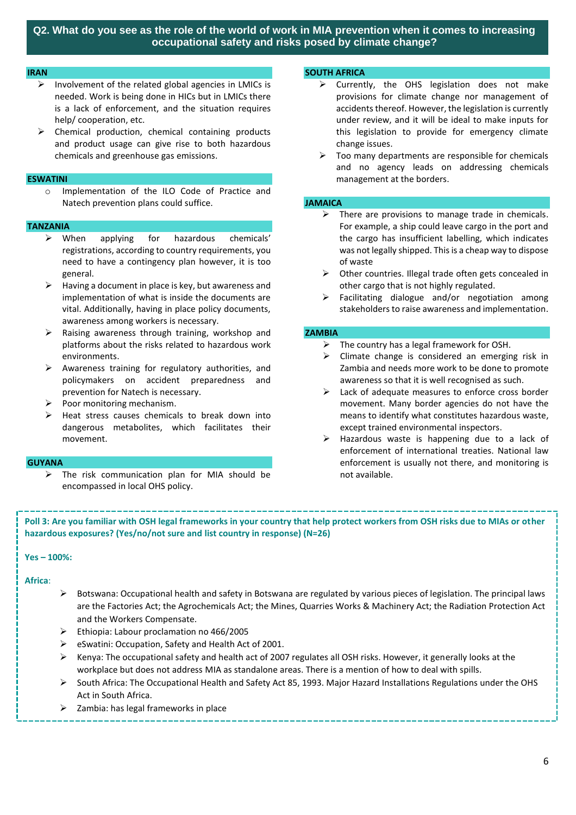#### **IRAN**

- as involvement of the related global agencies in LMICs is **invention of the Section of the organism** → Currently, the OHS legislation does n needed. Work is being done in HICs but in LMICs there is a lack of enforcement, and the situation requires help/ cooperation, etc.
- ➢ Chemical production, chemical containing products and product usage can give rise to both hazardous chemicals and greenhouse gas emissions.

#### **ESWATINI**

o Implementation of the ILO Code of Practice and Natech prevention plans could suffice.

#### **TANZANIA**

- ➢ When applying for hazardous chemicals' registrations, according to country requirements, you need to have a contingency plan however, it is too general.
- Having a document in place is key, but awareness and implementation of what is inside the documents are vital. Additionally, having in place policy documents, awareness among workers is necessary.
- ➢ Raising awareness through training, workshop and platforms about the risks related to hazardous work environments.
- ➢ Awareness training for regulatory authorities, and policymakers on accident preparedness and prevention for Natech is necessary.
- Poor monitoring mechanism.
- Heat stress causes chemicals to break down into dangerous metabolites, which facilitates their movement.

#### **GUYANA**

 $\triangleright$  The risk communication plan for MIA should be encompassed in local OHS policy.

#### **SOUTH AFRICA How can standing sustainability targets and ethical questions of biotechnology (e.g., licensing genetic and eth**

- ➢ Currently, the OHS legislation does not make provisions for climate change nor management of accidents thereof. However, the legislation is currently under review, and it will be ideal to make inputs for this legislation to provide for emergency climate change issues.
- $\triangleright$  Too many departments are responsible for chemicals and no agency leads on addressing chemicals management at the borders.

#### **JAMAICA**

- $\triangleright$  There are provisions to manage trade in chemicals. For example, a ship could leave cargo in the port and the cargo has insufficient labelling, which indicates was not legally shipped. This is a cheap way to dispose of waste
- ➢ Other countries. Illegal trade often gets concealed in other cargo that is not highly regulated.
- Facilitating dialogue and/or negotiation among stakeholders to raise awareness and implementation.

#### **ZAMBIA**

- $\triangleright$  The country has a legal framework for OSH.
- $\triangleright$  Climate change is considered an emerging risk in Zambia and needs more work to be done to promote awareness so that it is well recognised as such.
- $\triangleright$  Lack of adequate measures to enforce cross border movement. Many border agencies do not have the means to identify what constitutes hazardous waste, except trained environmental inspectors.
- ➢ Hazardous waste is happening due to a lack of enforcement of international treaties. National law enforcement is usually not there, and monitoring is not available.

**Poll 3: Are you familiar with OSH legal frameworks in your country that help protect workers from OSH risks due to MIAs or other hazardous exposures? (Yes/no/not sure and list country in response) (N=26)**

#### **Yes – 100%:**

#### **Africa**:

- $\triangleright$  Botswana: Occupational health and safety in Botswana are regulated by various pieces of legislation. The principal laws are the Factories Act; the Agrochemicals Act; the Mines, Quarries Works & Machinery Act; the Radiation Protection Act and the Workers Compensate.
- ➢ Ethiopia: Labour proclamation no 466/2005
- ➢ eSwatini: Occupation, Safety and Health Act of 2001.
- $\triangleright$  Kenya: The occupational safety and health act of 2007 regulates all OSH risks. However, it generally looks at the workplace but does not address MIA as standalone areas. There is a mention of how to deal with spills.
- ➢ South Africa: The Occupational Health and Safety Act 85, 1993. Major Hazard Installations Regulations under the OHS Act in South Africa.
- $\geq$  Zambia: has legal frameworks in place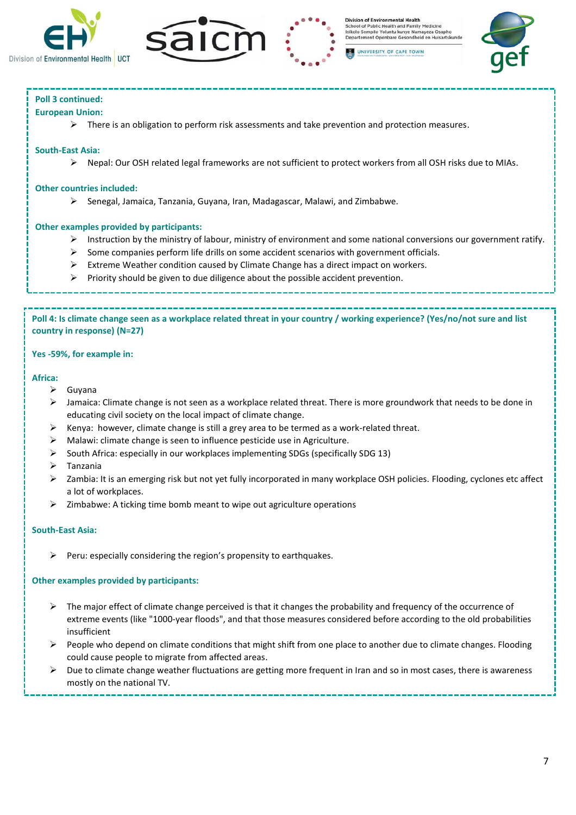





# **Poll 3 continued:**

# **European Union:**

 $\triangleright$  There is an obligation to perform risk assessments and take prevention and protection measures.

## **South-East Asia:**

➢ Nepal: Our OSH related legal frameworks are not sufficient to protect workers from all OSH risks due to MIAs.

## **Other countries included:**

➢ Senegal, Jamaica, Tanzania, Guyana, Iran, Madagascar, Malawi, and Zimbabwe.

# **Other examples provided by participants:**

- $\triangleright$  Instruction by the ministry of labour, ministry of environment and some national conversions our government ratify.
- $\triangleright$  Some companies perform life drills on some accident scenarios with government officials.
- $\triangleright$  Extreme Weather condition caused by Climate Change has a direct impact on workers.
- ➢ Priority should be given to due diligence about the possible accident prevention.

**Poll 4: Is climate change seen as a workplace related threat in your country / working experience? (Yes/no/not sure and list country in response) (N=27)**

# **Yes -59%, for example in:**

## **Africa:**

- ➢ Guyana
- ➢ Jamaica: Climate change is not seen as a workplace related threat. There is more groundwork that needs to be done in educating civil society on the local impact of climate change.
- $\triangleright$  Kenya: however, climate change is still a grey area to be termed as a work-related threat.
- ➢ Malawi: climate change is seen to influence pesticide use in Agriculture.
- ➢ South Africa: especially in our workplaces implementing SDGs (specifically SDG 13)
- ➢ Tanzania
- ➢ Zambia: It is an emerging risk but not yet fully incorporated in many workplace OSH policies. Flooding, cyclones etc affect a lot of workplaces.
- ➢ Zimbabwe: A ticking time bomb meant to wipe out agriculture operations

# **South-East Asia:**

 $\triangleright$  Peru: especially considering the region's propensity to earthquakes.

➢ Recently climate change was integrated as part of environmental studies

# **Other examples provided by participants:**

- $\triangleright$  The major effect of climate change perceived is that it changes the probability and frequency of the occurrence of extreme events (like "1000-year floods", and that those measures considered before according to the old probabilities insufficient
- ➢ People who depend on climate conditions that might shift from one place to another due to climate changes. Flooding could cause people to migrate from affected areas.
- $\triangleright$  Due to climate change weather fluctuations are getting more frequent in Iran and so in most cases, there is awareness mostly on the national TV.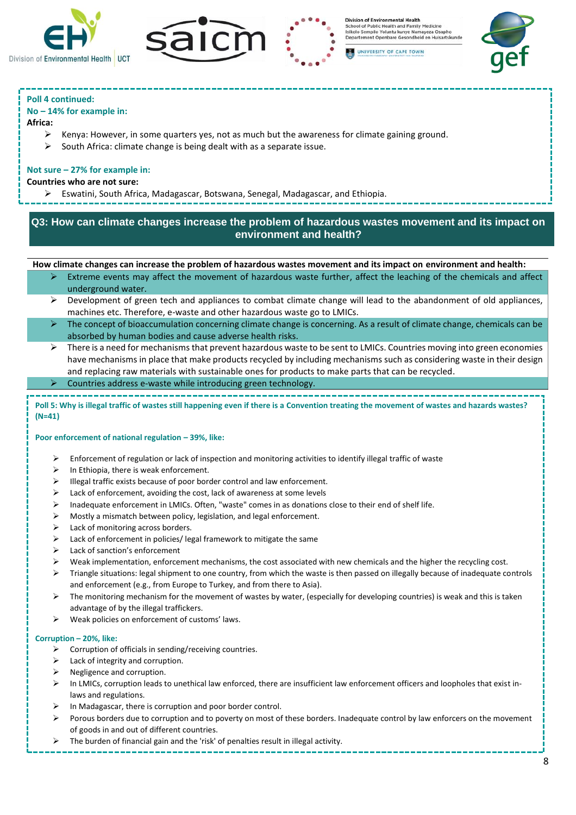



**Division of Environ** mental Health School of Public Health and Family Medicine<br>Isikolo Sempilo Yoluntu kunye Namayeza Osapho<br>Departement Openbare Gesondheid en Huisartskunde

UNIVERSITY OF CAPE TOWN



# **Poll 4 continued:**

## **No – 14% for example in:**

#### **Africa:**

- Kenya: However, in some quarters yes, not as much but the awareness for climate gaining ground.
- $\triangleright$  South Africa: climate change is being dealt with as a separate issue.

## **Not sure – 27% for example in:**

#### **Countries who are not sure:**

➢ Eswatini, South Africa, Madagascar, Botswana, Senegal, Madagascar, and Ethiopia.

# **Q3: How can climate changes increase the problem of hazardous wastes movement and its impact on environment and health?**

#### **How climate changes can increase the problem of hazardous wastes movement and its impact on environment and health:**

- Extreme events may affect the movement of hazardous waste further, affect the leaching of the chemicals and affect underground water.
- $\triangleright$  Development of green tech and appliances to combat climate change will lead to the abandonment of old appliances, machines etc. Therefore, e-waste and other hazardous waste go to LMICs.
- ➢ The concept of bioaccumulation concerning climate change is concerning. As a result of climate change, chemicals can be absorbed by human bodies and cause adverse health risks.
- $\triangleright$  There is a need for mechanisms that prevent hazardous waste to be sent to LMICs. Countries moving into green economies have mechanisms in place that make products recycled by including mechanisms such as considering waste in their design and replacing raw materials with sustainable ones for products to make parts that can be recycled.
- ➢ Countries address e-waste while introducing green technology.

**Poll 5: Why is illegal traffic of wastes still happening even if there is a Convention treating the movement of wastes and hazards wastes? (N=41)**

#### **Poor enforcement of national regulation – 39%, like:**

- ➢ Enforcement of regulation or lack of inspection and monitoring activities to identify illegal traffic of waste
- $\triangleright$  In Ethiopia, there is weak enforcement.
- ➢ Illegal traffic exists because of poor border control and law enforcement.
- ➢ Lack of enforcement, avoiding the cost, lack of awareness at some levels
- ➢ Inadequate enforcement in LMICs. Often, "waste" comes in as donations close to their end of shelf life.
- ➢ Mostly a mismatch between policy, legislation, and legal enforcement.
- ➢ Lack of monitoring across borders.
- ➢ Lack of enforcement in policies/ legal framework to mitigate the same
- ➢ Lack of sanction's enforcement
- $\triangleright$  Weak implementation, enforcement mechanisms, the cost associated with new chemicals and the higher the recycling cost.
- ➢ Triangle situations: legal shipment to one country, from which the waste is then passed on illegally because of inadequate controls and enforcement (e.g., from Europe to Turkey, and from there to Asia).
- ➢ The monitoring mechanism for the movement of wastes by water, (especially for developing countries) is weak and this is taken advantage of by the illegal traffickers.
- ➢ Weak policies on enforcement of customs' laws.

#### **Corruption – 20%, like:**

- ➢ Corruption of officials in sending/receiving countries.
- ➢ Lack of integrity and corruption.
- ➢ Negligence and corruption.
- $\triangleright$  In LMICs, corruption leads to unethical law enforced, there are insufficient law enforcement officers and loopholes that exist inlaws and regulations.
- In Madagascar, there is corruption and poor border control.
- ➢ Porous borders due to corruption and to poverty on most of these borders. Inadequate control by law enforcers on the movement of goods in and out of different countries.
- ➢ The burden of financial gain and the 'risk' of penalties result in illegal activity.
- ➢ Profits generated through illegal activity are higher than the risk of having to pay penalties.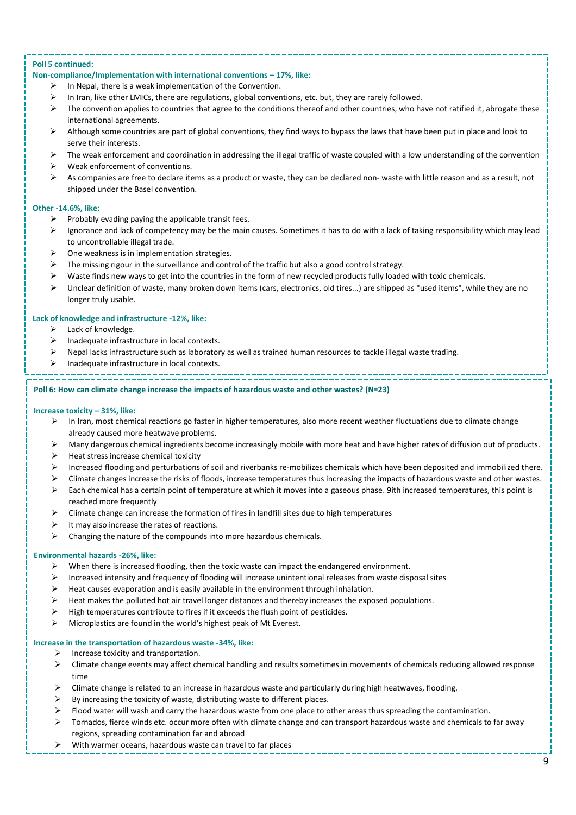#### **Poll 5 continued:**

#### **Non-compliance/Implementation with international conventions – 17%, like:**

- $\triangleright$  In Nepal, there is a weak implementation of the Convention.
- ➢ In Iran, like other LMICs, there are regulations, global conventions, etc. but, they are rarely followed.
- $\triangleright$  The convention applies to countries that agree to the conditions thereof and other countries, who have not ratified it, abrogate these international agreements.
- ➢ Although some countries are part of global conventions, they find ways to bypass the laws that have been put in place and look to serve their interests.
- $\triangleright$  The weak enforcement and coordination in addressing the illegal traffic of waste coupled with a low understanding of the convention
- Weak enforcement of conventions.
- $\triangleright$  As companies are free to declare items as a product or waste, they can be declared non- waste with little reason and as a result, not shipped under the Basel convention.

#### **Other -14.6%, like:**

- $\triangleright$  Probably evading paying the applicable transit fees.
- $\triangleright$  Ignorance and lack of competency may be the main causes. Sometimes it has to do with a lack of taking responsibility which may lead to uncontrollable illegal trade.
- ➢ One weakness is in implementation strategies.
- The missing rigour in the surveillance and control of the traffic but also a good control strategy.
- Waste finds new ways to get into the countries in the form of new recycled products fully loaded with toxic chemicals.
- ➢ Unclear definition of waste, many broken down items (cars, electronics, old tires...) are shipped as "used items", while they are no longer truly usable.

#### **Lack of knowledge and infrastructure -12%, like:**

- $\triangleright$  Lack of knowledge.
- ➢ Inadequate infrastructure in local contexts.
- ➢ Nepal lacks infrastructure such as laboratory as well as trained human resources to tackle illegal waste trading.
- ➢ Inadequate infrastructure in local contexts.

➢ Inadequate capacity to monitor movements /activities.

#### **Poll 6: How can climate change increase the impacts of hazardous waste and other wastes? (N=23)**

#### **Increase toxicity – 31%, like:**

- ➢ In Iran, most chemical reactions go faster in higher temperatures, also more recent weather fluctuations due to climate change already caused more heatwave problems.
- $\triangleright$  Many dangerous chemical ingredients become increasingly mobile with more heat and have higher rates of diffusion out of products.
- $\triangleright$  Heat stress increase chemical toxicity
- ➢ Increased flooding and perturbations of soil and riverbanks re-mobilizes chemicals which have been deposited and immobilized there.
- ➢ Climate changes increase the risks of floods, increase temperatures thus increasing the impacts of hazardous waste and other wastes.
- ➢ Each chemical has a certain point of temperature at which it moves into a gaseous phase. 9ith increased temperatures, this point is reached more frequently
- $\triangleright$  Climate change can increase the formation of fires in landfill sites due to high temperatures
- It may also increase the rates of reactions.
- $\triangleright$  Changing the nature of the compounds into more hazardous chemicals.

## **Environmental hazards -26%, like:**

- ➢ When there is increased flooding, then the toxic waste can impact the endangered environment.
- ➢ Increased intensity and frequency of flooding will increase unintentional releases from waste disposal sites
- ➢ Heat causes evaporation and is easily available in the environment through inhalation.
- $\triangleright$  Heat makes the polluted hot air travel longer distances and thereby increases the exposed populations.
- $\triangleright$  High temperatures contribute to fires if it exceeds the flush point of pesticides.
- ➢ Microplastics are found in the world's highest peak of Mt Everest.

## **Increase in the transportation of hazardous waste -34%, like:**

- $\triangleright$  Increase toxicity and transportation.
- ➢ Climate change events may affect chemical handling and results sometimes in movements of chemicals reducing allowed response time
- ➢ Climate change is related to an increase in hazardous waste and particularly during high heatwaves, flooding.
- ➢ By increasing the toxicity of waste, distributing waste to different places.
- Flood water will wash and carry the hazardous waste from one place to other areas thus spreading the contamination.
- ➢ Tornados, fierce winds etc. occur more often with climate change and can transport hazardous waste and chemicals to far away regions, spreading contamination far and abroad
- ➢ With warmer oceans, hazardous waste can travel to far places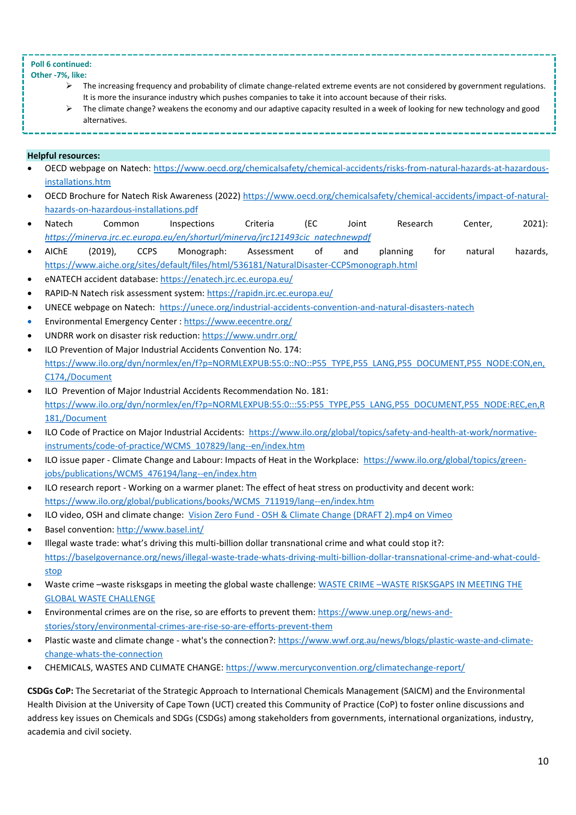# **Poll 6 continued:**

# **Other -7%, like:**

- ➢ The increasing frequency and probability of climate change-related extreme events are not considered by government regulations. It is more the insurance industry which pushes companies to take it into account because of their risks.
- ➢ The climate change? weakens the economy and our adaptive capacity resulted in a week of looking for new technology and good alternatives.
- **Helpful resources:**
- OECD webpage on Natech[: https://www.oecd.org/chemicalsafety/chemical-accidents/risks-from-natural-hazards-at-hazardous](https://www.oecd.org/chemicalsafety/chemical-accidents/risks-from-natural-hazards-at-hazardous-installations.htm)[installations.htm](https://www.oecd.org/chemicalsafety/chemical-accidents/risks-from-natural-hazards-at-hazardous-installations.htm)
- OECD Brochure for Natech Risk Awareness (2022) [https://www.oecd.org/chemicalsafety/chemical-accidents/impact-of-natural](https://www.oecd.org/chemicalsafety/chemical-accidents/impact-of-natural-hazards-on-hazardous-installations.pdf)[hazards-on-hazardous-installations.pdf](https://www.oecd.org/chemicalsafety/chemical-accidents/impact-of-natural-hazards-on-hazardous-installations.pdf)
- Natech Common Inspections Criteria (EC Joint Research Center, 2021): *[https://minerva.jrc.ec.europa.eu/en/shorturl/minerva/jrc121493cic\\_natechnewpdf](https://minerva.jrc.ec.europa.eu/en/shorturl/minerva/jrc121493cic_natechnewpdf)*
- AIChE (2019), CCPS Monograph: Assessment of and planning for natural hazards, <https://www.aiche.org/sites/default/files/html/536181/NaturalDisaster-CCPSmonograph.html>
- eNATECH accident database: https://enatech.jrc.ec.europa.eu/
- RAPID-N Natech risk assessment system:<https://rapidn.jrc.ec.europa.eu/>
- UNECE webpage on Natech: <https://unece.org/industrial-accidents-convention-and-natural-disasters-natech>
- Environmental Emergency Center :<https://www.eecentre.org/>
- UNDRR work on disaster risk reduction:<https://www.undrr.org/>
- ILO Prevention of Major Industrial Accidents Convention No. 174: [https://www.ilo.org/dyn/normlex/en/f?p=NORMLEXPUB:55:0::NO::P55\\_TYPE,P55\\_LANG,P55\\_DOCUMENT,P55\\_NODE:CON,en,](https://www.ilo.org/dyn/normlex/en/f?p=NORMLEXPUB:55:0::NO::P55_TYPE,P55_LANG,P55_DOCUMENT,P55_NODE:CON,en,C174,/Document) [C174,/Document](https://www.ilo.org/dyn/normlex/en/f?p=NORMLEXPUB:55:0::NO::P55_TYPE,P55_LANG,P55_DOCUMENT,P55_NODE:CON,en,C174,/Document)
- ILO Prevention of Major Industrial Accidents Recommendation No. 181: [https://www.ilo.org/dyn/normlex/en/f?p=NORMLEXPUB:55:0:::55:P55\\_TYPE,P55\\_LANG,P55\\_DOCUMENT,P55\\_NODE:REC,en,R](https://www.ilo.org/dyn/normlex/en/f?p=NORMLEXPUB:55:0:::55:P55_TYPE,P55_LANG,P55_DOCUMENT,P55_NODE:REC,en,R181,/Document) [181,/Document](https://www.ilo.org/dyn/normlex/en/f?p=NORMLEXPUB:55:0:::55:P55_TYPE,P55_LANG,P55_DOCUMENT,P55_NODE:REC,en,R181,/Document)
- ILO Code of Practice on Major Industrial Accidents: [https://www.ilo.org/global/topics/safety-and-health-at-work/normative](https://www.ilo.org/global/topics/safety-and-health-at-work/normative-instruments/code-of-practice/WCMS_107829/lang--en/index.htm)[instruments/code-of-practice/WCMS\\_107829/lang--en/index.htm](https://www.ilo.org/global/topics/safety-and-health-at-work/normative-instruments/code-of-practice/WCMS_107829/lang--en/index.htm)
- ILO issue paper Climate Change and Labour: Impacts of Heat in the Workplace: [https://www.ilo.org/global/topics/green](https://www.ilo.org/global/topics/green-jobs/publications/WCMS_476194/lang--en/index.htm)[jobs/publications/WCMS\\_476194/lang--en/index.htm](https://www.ilo.org/global/topics/green-jobs/publications/WCMS_476194/lang--en/index.htm)
- ILO research report Working on a warmer planet: The effect of heat stress on productivity and decent work: [https://www.ilo.org/global/publications/books/WCMS\\_711919/lang--en/index.htm](https://www.ilo.org/global/publications/books/WCMS_711919/lang--en/index.htm)
- ILO video, OSH and climate change: Vision Zero Fund [OSH & Climate Change \(DRAFT 2\).mp4 on Vimeo](https://vimeo.com/691524374)
- Basel convention[: http://www.basel.int/](http://www.basel.int/)
- Illegal waste trade: what's driving this multi-billion dollar transnational crime and what could stop it?: [https://baselgovernance.org/news/illegal-waste-trade-whats-driving-multi-billion-dollar-transnational-crime-and-what-could](https://baselgovernance.org/news/illegal-waste-trade-whats-driving-multi-billion-dollar-transnational-crime-and-what-could-stop)[stop](https://baselgovernance.org/news/illegal-waste-trade-whats-driving-multi-billion-dollar-transnational-crime-and-what-could-stop)
- Waste crime –waste risksgaps in meeting the global waste challenge: WASTE CRIME –[WASTE RISKSGAPS IN MEETING THE](https://www.coursehero.com/file/62647249/rrawastecrime-screenpdf/)  [GLOBAL WASTE CHALLENGE](https://www.coursehero.com/file/62647249/rrawastecrime-screenpdf/)
- Environmental crimes are on the rise, so are efforts to prevent them[: https://www.unep.org/news-and](https://www.unep.org/news-and-stories/story/environmental-crimes-are-rise-so-are-efforts-prevent-them)[stories/story/environmental-crimes-are-rise-so-are-efforts-prevent-them](https://www.unep.org/news-and-stories/story/environmental-crimes-are-rise-so-are-efforts-prevent-them)
- Plastic waste and climate change what's the connection?: [https://www.wwf.org.au/news/blogs/plastic-waste-and-climate](https://www.wwf.org.au/news/blogs/plastic-waste-and-climate-change-whats-the-connection)[change-whats-the-connection](https://www.wwf.org.au/news/blogs/plastic-waste-and-climate-change-whats-the-connection)
- CHEMICALS, WASTES AND CLIMATE CHANGE[: https://www.mercuryconvention.org/climatechange-report/](https://www.mercuryconvention.org/climatechange-report/)

**CSDGs CoP:** The Secretariat of the Strategic Approach to International Chemicals Management (SAICM) and the Environmental Health Division at the University of Cape Town (UCT) created this Community of Practice (CoP) to foster online discussions and address key issues on Chemicals and SDGs (CSDGs) among stakeholders from governments, international organizations, industry, academia and civil society.